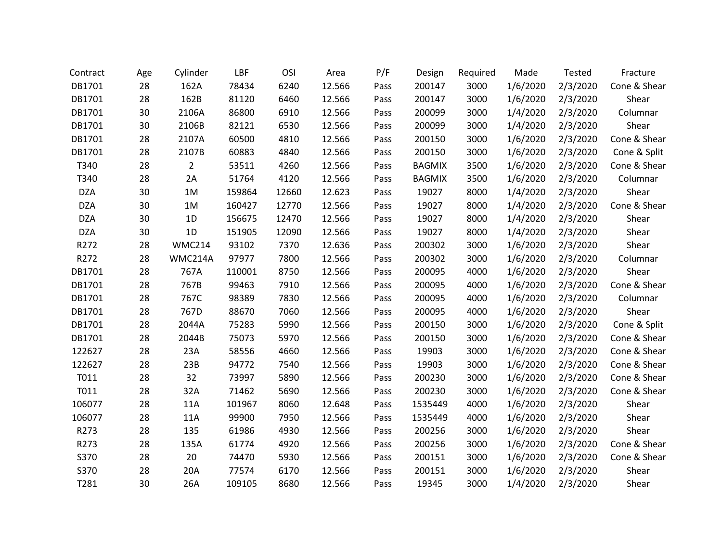| Contract   | Age | Cylinder       | LBF    | OSI   | Area   | P/F  | Design        | Required | Made     | Tested   | Fracture     |
|------------|-----|----------------|--------|-------|--------|------|---------------|----------|----------|----------|--------------|
| DB1701     | 28  | 162A           | 78434  | 6240  | 12.566 | Pass | 200147        | 3000     | 1/6/2020 | 2/3/2020 | Cone & Shear |
| DB1701     | 28  | 162B           | 81120  | 6460  | 12.566 | Pass | 200147        | 3000     | 1/6/2020 | 2/3/2020 | Shear        |
| DB1701     | 30  | 2106A          | 86800  | 6910  | 12.566 | Pass | 200099        | 3000     | 1/4/2020 | 2/3/2020 | Columnar     |
| DB1701     | 30  | 2106B          | 82121  | 6530  | 12.566 | Pass | 200099        | 3000     | 1/4/2020 | 2/3/2020 | Shear        |
| DB1701     | 28  | 2107A          | 60500  | 4810  | 12.566 | Pass | 200150        | 3000     | 1/6/2020 | 2/3/2020 | Cone & Shear |
| DB1701     | 28  | 2107B          | 60883  | 4840  | 12.566 | Pass | 200150        | 3000     | 1/6/2020 | 2/3/2020 | Cone & Split |
| T340       | 28  | $\overline{2}$ | 53511  | 4260  | 12.566 | Pass | <b>BAGMIX</b> | 3500     | 1/6/2020 | 2/3/2020 | Cone & Shear |
| T340       | 28  | 2A             | 51764  | 4120  | 12.566 | Pass | <b>BAGMIX</b> | 3500     | 1/6/2020 | 2/3/2020 | Columnar     |
| <b>DZA</b> | 30  | 1M             | 159864 | 12660 | 12.623 | Pass | 19027         | 8000     | 1/4/2020 | 2/3/2020 | Shear        |
| <b>DZA</b> | 30  | 1M             | 160427 | 12770 | 12.566 | Pass | 19027         | 8000     | 1/4/2020 | 2/3/2020 | Cone & Shear |
| <b>DZA</b> | 30  | 1D             | 156675 | 12470 | 12.566 | Pass | 19027         | 8000     | 1/4/2020 | 2/3/2020 | Shear        |
| <b>DZA</b> | 30  | 1D             | 151905 | 12090 | 12.566 | Pass | 19027         | 8000     | 1/4/2020 | 2/3/2020 | Shear        |
| R272       | 28  | <b>WMC214</b>  | 93102  | 7370  | 12.636 | Pass | 200302        | 3000     | 1/6/2020 | 2/3/2020 | Shear        |
| R272       | 28  | WMC214A        | 97977  | 7800  | 12.566 | Pass | 200302        | 3000     | 1/6/2020 | 2/3/2020 | Columnar     |
| DB1701     | 28  | 767A           | 110001 | 8750  | 12.566 | Pass | 200095        | 4000     | 1/6/2020 | 2/3/2020 | Shear        |
| DB1701     | 28  | 767B           | 99463  | 7910  | 12.566 | Pass | 200095        | 4000     | 1/6/2020 | 2/3/2020 | Cone & Shear |
| DB1701     | 28  | 767C           | 98389  | 7830  | 12.566 | Pass | 200095        | 4000     | 1/6/2020 | 2/3/2020 | Columnar     |
| DB1701     | 28  | 767D           | 88670  | 7060  | 12.566 | Pass | 200095        | 4000     | 1/6/2020 | 2/3/2020 | Shear        |
| DB1701     | 28  | 2044A          | 75283  | 5990  | 12.566 | Pass | 200150        | 3000     | 1/6/2020 | 2/3/2020 | Cone & Split |
| DB1701     | 28  | 2044B          | 75073  | 5970  | 12.566 | Pass | 200150        | 3000     | 1/6/2020 | 2/3/2020 | Cone & Shear |
| 122627     | 28  | 23A            | 58556  | 4660  | 12.566 | Pass | 19903         | 3000     | 1/6/2020 | 2/3/2020 | Cone & Shear |
| 122627     | 28  | 23B            | 94772  | 7540  | 12.566 | Pass | 19903         | 3000     | 1/6/2020 | 2/3/2020 | Cone & Shear |
| T011       | 28  | 32             | 73997  | 5890  | 12.566 | Pass | 200230        | 3000     | 1/6/2020 | 2/3/2020 | Cone & Shear |
| T011       | 28  | 32A            | 71462  | 5690  | 12.566 | Pass | 200230        | 3000     | 1/6/2020 | 2/3/2020 | Cone & Shear |
| 106077     | 28  | 11A            | 101967 | 8060  | 12.648 | Pass | 1535449       | 4000     | 1/6/2020 | 2/3/2020 | Shear        |
| 106077     | 28  | 11A            | 99900  | 7950  | 12.566 | Pass | 1535449       | 4000     | 1/6/2020 | 2/3/2020 | Shear        |
| R273       | 28  | 135            | 61986  | 4930  | 12.566 | Pass | 200256        | 3000     | 1/6/2020 | 2/3/2020 | Shear        |
| R273       | 28  | 135A           | 61774  | 4920  | 12.566 | Pass | 200256        | 3000     | 1/6/2020 | 2/3/2020 | Cone & Shear |
| S370       | 28  | 20             | 74470  | 5930  | 12.566 | Pass | 200151        | 3000     | 1/6/2020 | 2/3/2020 | Cone & Shear |
| S370       | 28  | 20A            | 77574  | 6170  | 12.566 | Pass | 200151        | 3000     | 1/6/2020 | 2/3/2020 | Shear        |
| T281       | 30  | 26A            | 109105 | 8680  | 12.566 | Pass | 19345         | 3000     | 1/4/2020 | 2/3/2020 | Shear        |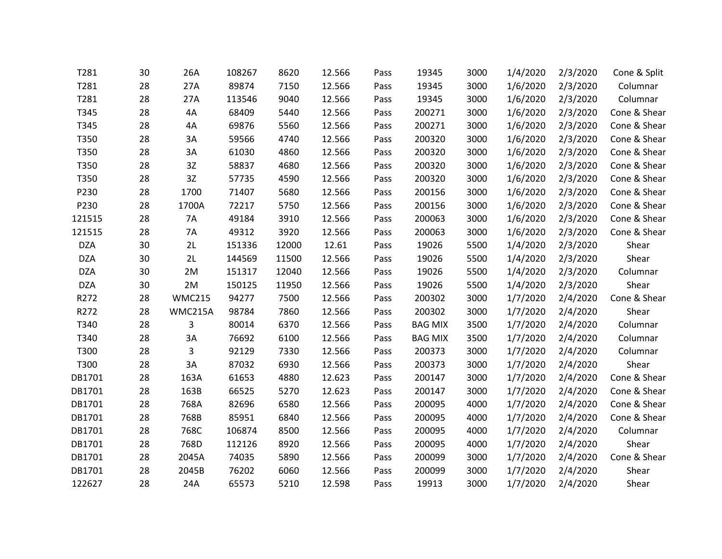| T281       | 30 | 26A           | 108267 | 8620  | 12.566 | Pass | 19345          | 3000 | 1/4/2020 | 2/3/2020 | Cone & Split |
|------------|----|---------------|--------|-------|--------|------|----------------|------|----------|----------|--------------|
| T281       | 28 | 27A           | 89874  | 7150  | 12.566 | Pass | 19345          | 3000 | 1/6/2020 | 2/3/2020 | Columnar     |
| T281       | 28 | 27A           | 113546 | 9040  | 12.566 | Pass | 19345          | 3000 | 1/6/2020 | 2/3/2020 | Columnar     |
| T345       | 28 | 4A            | 68409  | 5440  | 12.566 | Pass | 200271         | 3000 | 1/6/2020 | 2/3/2020 | Cone & Shear |
| T345       | 28 | 4A            | 69876  | 5560  | 12.566 | Pass | 200271         | 3000 | 1/6/2020 | 2/3/2020 | Cone & Shear |
| T350       | 28 | 3A            | 59566  | 4740  | 12.566 | Pass | 200320         | 3000 | 1/6/2020 | 2/3/2020 | Cone & Shear |
| T350       | 28 | 3A            | 61030  | 4860  | 12.566 | Pass | 200320         | 3000 | 1/6/2020 | 2/3/2020 | Cone & Shear |
| T350       | 28 | 3Z            | 58837  | 4680  | 12.566 | Pass | 200320         | 3000 | 1/6/2020 | 2/3/2020 | Cone & Shear |
| T350       | 28 | 3Z            | 57735  | 4590  | 12.566 | Pass | 200320         | 3000 | 1/6/2020 | 2/3/2020 | Cone & Shear |
| P230       | 28 | 1700          | 71407  | 5680  | 12.566 | Pass | 200156         | 3000 | 1/6/2020 | 2/3/2020 | Cone & Shear |
| P230       | 28 | 1700A         | 72217  | 5750  | 12.566 | Pass | 200156         | 3000 | 1/6/2020 | 2/3/2020 | Cone & Shear |
| 121515     | 28 | 7A            | 49184  | 3910  | 12.566 | Pass | 200063         | 3000 | 1/6/2020 | 2/3/2020 | Cone & Shear |
| 121515     | 28 | 7A            | 49312  | 3920  | 12.566 | Pass | 200063         | 3000 | 1/6/2020 | 2/3/2020 | Cone & Shear |
| <b>DZA</b> | 30 | 2L            | 151336 | 12000 | 12.61  | Pass | 19026          | 5500 | 1/4/2020 | 2/3/2020 | Shear        |
| <b>DZA</b> | 30 | 2L            | 144569 | 11500 | 12.566 | Pass | 19026          | 5500 | 1/4/2020 | 2/3/2020 | Shear        |
| <b>DZA</b> | 30 | 2M            | 151317 | 12040 | 12.566 | Pass | 19026          | 5500 | 1/4/2020 | 2/3/2020 | Columnar     |
| <b>DZA</b> | 30 | 2M            | 150125 | 11950 | 12.566 | Pass | 19026          | 5500 | 1/4/2020 | 2/3/2020 | Shear        |
| R272       | 28 | <b>WMC215</b> | 94277  | 7500  | 12.566 | Pass | 200302         | 3000 | 1/7/2020 | 2/4/2020 | Cone & Shear |
| R272       | 28 | WMC215A       | 98784  | 7860  | 12.566 | Pass | 200302         | 3000 | 1/7/2020 | 2/4/2020 | Shear        |
| T340       | 28 | 3             | 80014  | 6370  | 12.566 | Pass | <b>BAG MIX</b> | 3500 | 1/7/2020 | 2/4/2020 | Columnar     |
| T340       | 28 | 3A            | 76692  | 6100  | 12.566 | Pass | <b>BAG MIX</b> | 3500 | 1/7/2020 | 2/4/2020 | Columnar     |
| T300       | 28 | 3             | 92129  | 7330  | 12.566 | Pass | 200373         | 3000 | 1/7/2020 | 2/4/2020 | Columnar     |
| T300       | 28 | 3A            | 87032  | 6930  | 12.566 | Pass | 200373         | 3000 | 1/7/2020 | 2/4/2020 | Shear        |
| DB1701     | 28 | 163A          | 61653  | 4880  | 12.623 | Pass | 200147         | 3000 | 1/7/2020 | 2/4/2020 | Cone & Shear |
| DB1701     | 28 | 163B          | 66525  | 5270  | 12.623 | Pass | 200147         | 3000 | 1/7/2020 | 2/4/2020 | Cone & Shear |
| DB1701     | 28 | 768A          | 82696  | 6580  | 12.566 | Pass | 200095         | 4000 | 1/7/2020 | 2/4/2020 | Cone & Shear |
| DB1701     | 28 | 768B          | 85951  | 6840  | 12.566 | Pass | 200095         | 4000 | 1/7/2020 | 2/4/2020 | Cone & Shear |
| DB1701     | 28 | 768C          | 106874 | 8500  | 12.566 | Pass | 200095         | 4000 | 1/7/2020 | 2/4/2020 | Columnar     |
| DB1701     | 28 | 768D          | 112126 | 8920  | 12.566 | Pass | 200095         | 4000 | 1/7/2020 | 2/4/2020 | Shear        |
| DB1701     | 28 | 2045A         | 74035  | 5890  | 12.566 | Pass | 200099         | 3000 | 1/7/2020 | 2/4/2020 | Cone & Shear |
| DB1701     | 28 | 2045B         | 76202  | 6060  | 12.566 | Pass | 200099         | 3000 | 1/7/2020 | 2/4/2020 | Shear        |
| 122627     | 28 | 24A           | 65573  | 5210  | 12.598 | Pass | 19913          | 3000 | 1/7/2020 | 2/4/2020 | Shear        |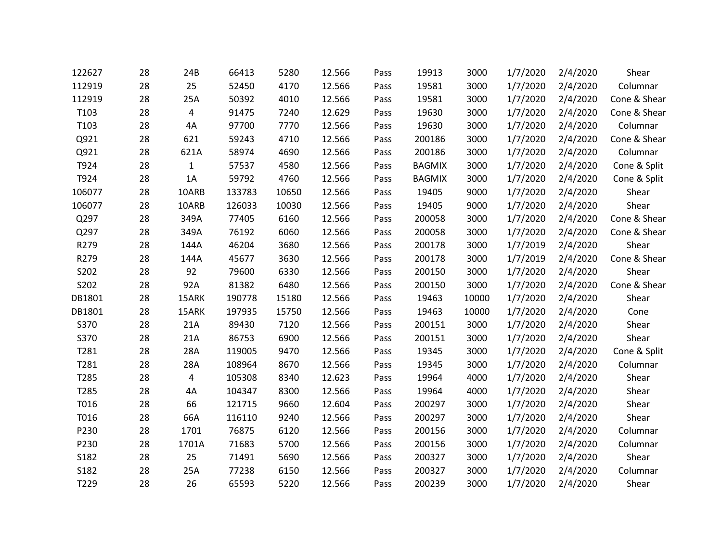| 122627 | 28 | 24B            | 66413  | 5280  | 12.566 | Pass | 19913         | 3000  | 1/7/2020 | 2/4/2020 | Shear        |
|--------|----|----------------|--------|-------|--------|------|---------------|-------|----------|----------|--------------|
| 112919 | 28 | 25             | 52450  | 4170  | 12.566 | Pass | 19581         | 3000  | 1/7/2020 | 2/4/2020 | Columnar     |
| 112919 | 28 | 25A            | 50392  | 4010  | 12.566 | Pass | 19581         | 3000  | 1/7/2020 | 2/4/2020 | Cone & Shear |
| T103   | 28 | $\overline{4}$ | 91475  | 7240  | 12.629 | Pass | 19630         | 3000  | 1/7/2020 | 2/4/2020 | Cone & Shear |
| T103   | 28 | 4A             | 97700  | 7770  | 12.566 | Pass | 19630         | 3000  | 1/7/2020 | 2/4/2020 | Columnar     |
| Q921   | 28 | 621            | 59243  | 4710  | 12.566 | Pass | 200186        | 3000  | 1/7/2020 | 2/4/2020 | Cone & Shear |
| Q921   | 28 | 621A           | 58974  | 4690  | 12.566 | Pass | 200186        | 3000  | 1/7/2020 | 2/4/2020 | Columnar     |
| T924   | 28 | $\mathbf{1}$   | 57537  | 4580  | 12.566 | Pass | <b>BAGMIX</b> | 3000  | 1/7/2020 | 2/4/2020 | Cone & Split |
| T924   | 28 | 1A             | 59792  | 4760  | 12.566 | Pass | <b>BAGMIX</b> | 3000  | 1/7/2020 | 2/4/2020 | Cone & Split |
| 106077 | 28 | 10ARB          | 133783 | 10650 | 12.566 | Pass | 19405         | 9000  | 1/7/2020 | 2/4/2020 | Shear        |
| 106077 | 28 | 10ARB          | 126033 | 10030 | 12.566 | Pass | 19405         | 9000  | 1/7/2020 | 2/4/2020 | Shear        |
| Q297   | 28 | 349A           | 77405  | 6160  | 12.566 | Pass | 200058        | 3000  | 1/7/2020 | 2/4/2020 | Cone & Shear |
| Q297   | 28 | 349A           | 76192  | 6060  | 12.566 | Pass | 200058        | 3000  | 1/7/2020 | 2/4/2020 | Cone & Shear |
| R279   | 28 | 144A           | 46204  | 3680  | 12.566 | Pass | 200178        | 3000  | 1/7/2019 | 2/4/2020 | Shear        |
| R279   | 28 | 144A           | 45677  | 3630  | 12.566 | Pass | 200178        | 3000  | 1/7/2019 | 2/4/2020 | Cone & Shear |
| S202   | 28 | 92             | 79600  | 6330  | 12.566 | Pass | 200150        | 3000  | 1/7/2020 | 2/4/2020 | Shear        |
| S202   | 28 | 92A            | 81382  | 6480  | 12.566 | Pass | 200150        | 3000  | 1/7/2020 | 2/4/2020 | Cone & Shear |
| DB1801 | 28 | 15ARK          | 190778 | 15180 | 12.566 | Pass | 19463         | 10000 | 1/7/2020 | 2/4/2020 | Shear        |
| DB1801 | 28 | 15ARK          | 197935 | 15750 | 12.566 | Pass | 19463         | 10000 | 1/7/2020 | 2/4/2020 | Cone         |
| S370   | 28 | 21A            | 89430  | 7120  | 12.566 | Pass | 200151        | 3000  | 1/7/2020 | 2/4/2020 | Shear        |
| S370   | 28 | 21A            | 86753  | 6900  | 12.566 | Pass | 200151        | 3000  | 1/7/2020 | 2/4/2020 | Shear        |
| T281   | 28 | 28A            | 119005 | 9470  | 12.566 | Pass | 19345         | 3000  | 1/7/2020 | 2/4/2020 | Cone & Split |
| T281   | 28 | 28A            | 108964 | 8670  | 12.566 | Pass | 19345         | 3000  | 1/7/2020 | 2/4/2020 | Columnar     |
| T285   | 28 | $\overline{4}$ | 105308 | 8340  | 12.623 | Pass | 19964         | 4000  | 1/7/2020 | 2/4/2020 | Shear        |
| T285   | 28 | 4A             | 104347 | 8300  | 12.566 | Pass | 19964         | 4000  | 1/7/2020 | 2/4/2020 | Shear        |
| T016   | 28 | 66             | 121715 | 9660  | 12.604 | Pass | 200297        | 3000  | 1/7/2020 | 2/4/2020 | Shear        |
| T016   | 28 | 66A            | 116110 | 9240  | 12.566 | Pass | 200297        | 3000  | 1/7/2020 | 2/4/2020 | Shear        |
| P230   | 28 | 1701           | 76875  | 6120  | 12.566 | Pass | 200156        | 3000  | 1/7/2020 | 2/4/2020 | Columnar     |
| P230   | 28 | 1701A          | 71683  | 5700  | 12.566 | Pass | 200156        | 3000  | 1/7/2020 | 2/4/2020 | Columnar     |
| S182   | 28 | 25             | 71491  | 5690  | 12.566 | Pass | 200327        | 3000  | 1/7/2020 | 2/4/2020 | Shear        |
| S182   | 28 | 25A            | 77238  | 6150  | 12.566 | Pass | 200327        | 3000  | 1/7/2020 | 2/4/2020 | Columnar     |
| T229   | 28 | 26             | 65593  | 5220  | 12.566 | Pass | 200239        | 3000  | 1/7/2020 | 2/4/2020 | Shear        |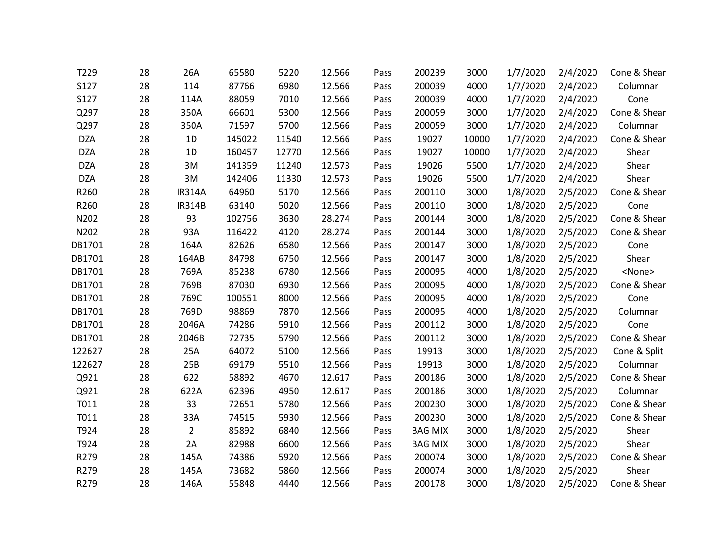| T229       | 28 | 26A           | 65580  | 5220  | 12.566 | Pass | 200239         | 3000  | 1/7/2020 | 2/4/2020 | Cone & Shear  |
|------------|----|---------------|--------|-------|--------|------|----------------|-------|----------|----------|---------------|
| S127       | 28 | 114           | 87766  | 6980  | 12.566 | Pass | 200039         | 4000  | 1/7/2020 | 2/4/2020 | Columnar      |
| S127       | 28 | 114A          | 88059  | 7010  | 12.566 | Pass | 200039         | 4000  | 1/7/2020 | 2/4/2020 | Cone          |
| Q297       | 28 | 350A          | 66601  | 5300  | 12.566 | Pass | 200059         | 3000  | 1/7/2020 | 2/4/2020 | Cone & Shear  |
| Q297       | 28 | 350A          | 71597  | 5700  | 12.566 | Pass | 200059         | 3000  | 1/7/2020 | 2/4/2020 | Columnar      |
| <b>DZA</b> | 28 | 1D            | 145022 | 11540 | 12.566 | Pass | 19027          | 10000 | 1/7/2020 | 2/4/2020 | Cone & Shear  |
| <b>DZA</b> | 28 | 1D            | 160457 | 12770 | 12.566 | Pass | 19027          | 10000 | 1/7/2020 | 2/4/2020 | Shear         |
| <b>DZA</b> | 28 | 3M            | 141359 | 11240 | 12.573 | Pass | 19026          | 5500  | 1/7/2020 | 2/4/2020 | Shear         |
| <b>DZA</b> | 28 | 3M            | 142406 | 11330 | 12.573 | Pass | 19026          | 5500  | 1/7/2020 | 2/4/2020 | Shear         |
| R260       | 28 | <b>IR314A</b> | 64960  | 5170  | 12.566 | Pass | 200110         | 3000  | 1/8/2020 | 2/5/2020 | Cone & Shear  |
| R260       | 28 | <b>IR314B</b> | 63140  | 5020  | 12.566 | Pass | 200110         | 3000  | 1/8/2020 | 2/5/2020 | Cone          |
| N202       | 28 | 93            | 102756 | 3630  | 28.274 | Pass | 200144         | 3000  | 1/8/2020 | 2/5/2020 | Cone & Shear  |
| N202       | 28 | 93A           | 116422 | 4120  | 28.274 | Pass | 200144         | 3000  | 1/8/2020 | 2/5/2020 | Cone & Shear  |
| DB1701     | 28 | 164A          | 82626  | 6580  | 12.566 | Pass | 200147         | 3000  | 1/8/2020 | 2/5/2020 | Cone          |
| DB1701     | 28 | 164AB         | 84798  | 6750  | 12.566 | Pass | 200147         | 3000  | 1/8/2020 | 2/5/2020 | Shear         |
| DB1701     | 28 | 769A          | 85238  | 6780  | 12.566 | Pass | 200095         | 4000  | 1/8/2020 | 2/5/2020 | <none></none> |
| DB1701     | 28 | 769B          | 87030  | 6930  | 12.566 | Pass | 200095         | 4000  | 1/8/2020 | 2/5/2020 | Cone & Shear  |
| DB1701     | 28 | 769C          | 100551 | 8000  | 12.566 | Pass | 200095         | 4000  | 1/8/2020 | 2/5/2020 | Cone          |
| DB1701     | 28 | 769D          | 98869  | 7870  | 12.566 | Pass | 200095         | 4000  | 1/8/2020 | 2/5/2020 | Columnar      |
| DB1701     | 28 | 2046A         | 74286  | 5910  | 12.566 | Pass | 200112         | 3000  | 1/8/2020 | 2/5/2020 | Cone          |
| DB1701     | 28 | 2046B         | 72735  | 5790  | 12.566 | Pass | 200112         | 3000  | 1/8/2020 | 2/5/2020 | Cone & Shear  |
| 122627     | 28 | 25A           | 64072  | 5100  | 12.566 | Pass | 19913          | 3000  | 1/8/2020 | 2/5/2020 | Cone & Split  |
| 122627     | 28 | 25B           | 69179  | 5510  | 12.566 | Pass | 19913          | 3000  | 1/8/2020 | 2/5/2020 | Columnar      |
| Q921       | 28 | 622           | 58892  | 4670  | 12.617 | Pass | 200186         | 3000  | 1/8/2020 | 2/5/2020 | Cone & Shear  |
| Q921       | 28 | 622A          | 62396  | 4950  | 12.617 | Pass | 200186         | 3000  | 1/8/2020 | 2/5/2020 | Columnar      |
| T011       | 28 | 33            | 72651  | 5780  | 12.566 | Pass | 200230         | 3000  | 1/8/2020 | 2/5/2020 | Cone & Shear  |
| T011       | 28 | 33A           | 74515  | 5930  | 12.566 | Pass | 200230         | 3000  | 1/8/2020 | 2/5/2020 | Cone & Shear  |
| T924       | 28 | $2^{\circ}$   | 85892  | 6840  | 12.566 | Pass | <b>BAG MIX</b> | 3000  | 1/8/2020 | 2/5/2020 | Shear         |
| T924       | 28 | 2A            | 82988  | 6600  | 12.566 | Pass | <b>BAG MIX</b> | 3000  | 1/8/2020 | 2/5/2020 | Shear         |
| R279       | 28 | 145A          | 74386  | 5920  | 12.566 | Pass | 200074         | 3000  | 1/8/2020 | 2/5/2020 | Cone & Shear  |
| R279       | 28 | 145A          | 73682  | 5860  | 12.566 | Pass | 200074         | 3000  | 1/8/2020 | 2/5/2020 | Shear         |
| R279       | 28 | 146A          | 55848  | 4440  | 12.566 | Pass | 200178         | 3000  | 1/8/2020 | 2/5/2020 | Cone & Shear  |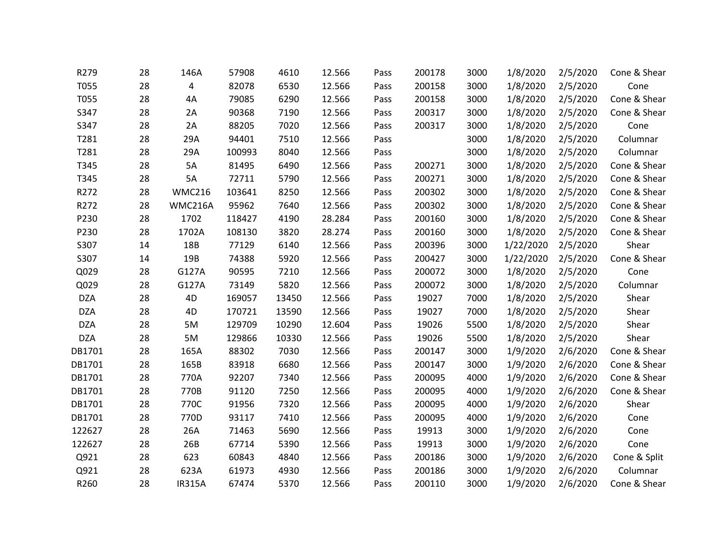| R279       | 28 | 146A          | 57908  | 4610  | 12.566 | Pass | 200178 | 3000 | 1/8/2020  | 2/5/2020 | Cone & Shear |
|------------|----|---------------|--------|-------|--------|------|--------|------|-----------|----------|--------------|
| T055       | 28 | 4             | 82078  | 6530  | 12.566 | Pass | 200158 | 3000 | 1/8/2020  | 2/5/2020 | Cone         |
| T055       | 28 | 4A            | 79085  | 6290  | 12.566 | Pass | 200158 | 3000 | 1/8/2020  | 2/5/2020 | Cone & Shear |
| S347       | 28 | 2A            | 90368  | 7190  | 12.566 | Pass | 200317 | 3000 | 1/8/2020  | 2/5/2020 | Cone & Shear |
| S347       | 28 | 2A            | 88205  | 7020  | 12.566 | Pass | 200317 | 3000 | 1/8/2020  | 2/5/2020 | Cone         |
| T281       | 28 | 29A           | 94401  | 7510  | 12.566 | Pass |        | 3000 | 1/8/2020  | 2/5/2020 | Columnar     |
| T281       | 28 | 29A           | 100993 | 8040  | 12.566 | Pass |        | 3000 | 1/8/2020  | 2/5/2020 | Columnar     |
| T345       | 28 | 5A            | 81495  | 6490  | 12.566 | Pass | 200271 | 3000 | 1/8/2020  | 2/5/2020 | Cone & Shear |
| T345       | 28 | 5A            | 72711  | 5790  | 12.566 | Pass | 200271 | 3000 | 1/8/2020  | 2/5/2020 | Cone & Shear |
| R272       | 28 | <b>WMC216</b> | 103641 | 8250  | 12.566 | Pass | 200302 | 3000 | 1/8/2020  | 2/5/2020 | Cone & Shear |
| R272       | 28 | WMC216A       | 95962  | 7640  | 12.566 | Pass | 200302 | 3000 | 1/8/2020  | 2/5/2020 | Cone & Shear |
| P230       | 28 | 1702          | 118427 | 4190  | 28.284 | Pass | 200160 | 3000 | 1/8/2020  | 2/5/2020 | Cone & Shear |
| P230       | 28 | 1702A         | 108130 | 3820  | 28.274 | Pass | 200160 | 3000 | 1/8/2020  | 2/5/2020 | Cone & Shear |
| S307       | 14 | 18B           | 77129  | 6140  | 12.566 | Pass | 200396 | 3000 | 1/22/2020 | 2/5/2020 | Shear        |
| S307       | 14 | 19B           | 74388  | 5920  | 12.566 | Pass | 200427 | 3000 | 1/22/2020 | 2/5/2020 | Cone & Shear |
| Q029       | 28 | G127A         | 90595  | 7210  | 12.566 | Pass | 200072 | 3000 | 1/8/2020  | 2/5/2020 | Cone         |
| Q029       | 28 | G127A         | 73149  | 5820  | 12.566 | Pass | 200072 | 3000 | 1/8/2020  | 2/5/2020 | Columnar     |
| <b>DZA</b> | 28 | 4D            | 169057 | 13450 | 12.566 | Pass | 19027  | 7000 | 1/8/2020  | 2/5/2020 | Shear        |
| <b>DZA</b> | 28 | 4D            | 170721 | 13590 | 12.566 | Pass | 19027  | 7000 | 1/8/2020  | 2/5/2020 | Shear        |
| <b>DZA</b> | 28 | 5M            | 129709 | 10290 | 12.604 | Pass | 19026  | 5500 | 1/8/2020  | 2/5/2020 | Shear        |
| <b>DZA</b> | 28 | 5M            | 129866 | 10330 | 12.566 | Pass | 19026  | 5500 | 1/8/2020  | 2/5/2020 | Shear        |
| DB1701     | 28 | 165A          | 88302  | 7030  | 12.566 | Pass | 200147 | 3000 | 1/9/2020  | 2/6/2020 | Cone & Shear |
| DB1701     | 28 | 165B          | 83918  | 6680  | 12.566 | Pass | 200147 | 3000 | 1/9/2020  | 2/6/2020 | Cone & Shear |
| DB1701     | 28 | 770A          | 92207  | 7340  | 12.566 | Pass | 200095 | 4000 | 1/9/2020  | 2/6/2020 | Cone & Shear |
| DB1701     | 28 | 770B          | 91120  | 7250  | 12.566 | Pass | 200095 | 4000 | 1/9/2020  | 2/6/2020 | Cone & Shear |
| DB1701     | 28 | 770C          | 91956  | 7320  | 12.566 | Pass | 200095 | 4000 | 1/9/2020  | 2/6/2020 | Shear        |
| DB1701     | 28 | 770D          | 93117  | 7410  | 12.566 | Pass | 200095 | 4000 | 1/9/2020  | 2/6/2020 | Cone         |
| 122627     | 28 | 26A           | 71463  | 5690  | 12.566 | Pass | 19913  | 3000 | 1/9/2020  | 2/6/2020 | Cone         |
| 122627     | 28 | 26B           | 67714  | 5390  | 12.566 | Pass | 19913  | 3000 | 1/9/2020  | 2/6/2020 | Cone         |
| Q921       | 28 | 623           | 60843  | 4840  | 12.566 | Pass | 200186 | 3000 | 1/9/2020  | 2/6/2020 | Cone & Split |
| Q921       | 28 | 623A          | 61973  | 4930  | 12.566 | Pass | 200186 | 3000 | 1/9/2020  | 2/6/2020 | Columnar     |
| R260       | 28 | <b>IR315A</b> | 67474  | 5370  | 12.566 | Pass | 200110 | 3000 | 1/9/2020  | 2/6/2020 | Cone & Shear |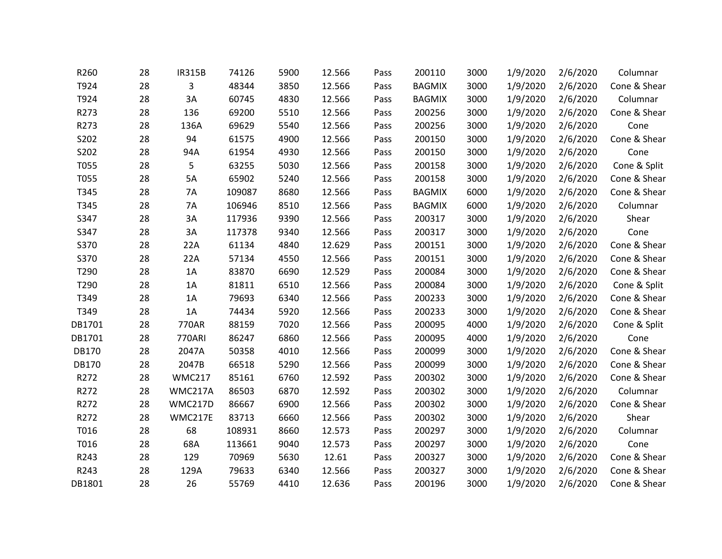| R260         | 28 | <b>IR315B</b> | 74126  | 5900 | 12.566 | Pass | 200110        | 3000 | 1/9/2020 | 2/6/2020 | Columnar     |
|--------------|----|---------------|--------|------|--------|------|---------------|------|----------|----------|--------------|
| T924         | 28 | 3             | 48344  | 3850 | 12.566 | Pass | <b>BAGMIX</b> | 3000 | 1/9/2020 | 2/6/2020 | Cone & Shear |
| T924         | 28 | 3A            | 60745  | 4830 | 12.566 | Pass | <b>BAGMIX</b> | 3000 | 1/9/2020 | 2/6/2020 | Columnar     |
| R273         | 28 | 136           | 69200  | 5510 | 12.566 | Pass | 200256        | 3000 | 1/9/2020 | 2/6/2020 | Cone & Shear |
| R273         | 28 | 136A          | 69629  | 5540 | 12.566 | Pass | 200256        | 3000 | 1/9/2020 | 2/6/2020 | Cone         |
| S202         | 28 | 94            | 61575  | 4900 | 12.566 | Pass | 200150        | 3000 | 1/9/2020 | 2/6/2020 | Cone & Shear |
| S202         | 28 | 94A           | 61954  | 4930 | 12.566 | Pass | 200150        | 3000 | 1/9/2020 | 2/6/2020 | Cone         |
| T055         | 28 | 5             | 63255  | 5030 | 12.566 | Pass | 200158        | 3000 | 1/9/2020 | 2/6/2020 | Cone & Split |
| T055         | 28 | 5A            | 65902  | 5240 | 12.566 | Pass | 200158        | 3000 | 1/9/2020 | 2/6/2020 | Cone & Shear |
| T345         | 28 | 7A            | 109087 | 8680 | 12.566 | Pass | <b>BAGMIX</b> | 6000 | 1/9/2020 | 2/6/2020 | Cone & Shear |
| T345         | 28 | 7A            | 106946 | 8510 | 12.566 | Pass | <b>BAGMIX</b> | 6000 | 1/9/2020 | 2/6/2020 | Columnar     |
| S347         | 28 | 3A            | 117936 | 9390 | 12.566 | Pass | 200317        | 3000 | 1/9/2020 | 2/6/2020 | Shear        |
| S347         | 28 | 3A            | 117378 | 9340 | 12.566 | Pass | 200317        | 3000 | 1/9/2020 | 2/6/2020 | Cone         |
| S370         | 28 | 22A           | 61134  | 4840 | 12.629 | Pass | 200151        | 3000 | 1/9/2020 | 2/6/2020 | Cone & Shear |
| S370         | 28 | 22A           | 57134  | 4550 | 12.566 | Pass | 200151        | 3000 | 1/9/2020 | 2/6/2020 | Cone & Shear |
| T290         | 28 | 1A            | 83870  | 6690 | 12.529 | Pass | 200084        | 3000 | 1/9/2020 | 2/6/2020 | Cone & Shear |
| T290         | 28 | 1A            | 81811  | 6510 | 12.566 | Pass | 200084        | 3000 | 1/9/2020 | 2/6/2020 | Cone & Split |
| T349         | 28 | 1A            | 79693  | 6340 | 12.566 | Pass | 200233        | 3000 | 1/9/2020 | 2/6/2020 | Cone & Shear |
| T349         | 28 | 1A            | 74434  | 5920 | 12.566 | Pass | 200233        | 3000 | 1/9/2020 | 2/6/2020 | Cone & Shear |
| DB1701       | 28 | 770AR         | 88159  | 7020 | 12.566 | Pass | 200095        | 4000 | 1/9/2020 | 2/6/2020 | Cone & Split |
| DB1701       | 28 | <b>770ARI</b> | 86247  | 6860 | 12.566 | Pass | 200095        | 4000 | 1/9/2020 | 2/6/2020 | Cone         |
| <b>DB170</b> | 28 | 2047A         | 50358  | 4010 | 12.566 | Pass | 200099        | 3000 | 1/9/2020 | 2/6/2020 | Cone & Shear |
| DB170        | 28 | 2047B         | 66518  | 5290 | 12.566 | Pass | 200099        | 3000 | 1/9/2020 | 2/6/2020 | Cone & Shear |
| R272         | 28 | <b>WMC217</b> | 85161  | 6760 | 12.592 | Pass | 200302        | 3000 | 1/9/2020 | 2/6/2020 | Cone & Shear |
| R272         | 28 | WMC217A       | 86503  | 6870 | 12.592 | Pass | 200302        | 3000 | 1/9/2020 | 2/6/2020 | Columnar     |
| R272         | 28 | WMC217D       | 86667  | 6900 | 12.566 | Pass | 200302        | 3000 | 1/9/2020 | 2/6/2020 | Cone & Shear |
| R272         | 28 | WMC217E       | 83713  | 6660 | 12.566 | Pass | 200302        | 3000 | 1/9/2020 | 2/6/2020 | Shear        |
| T016         | 28 | 68            | 108931 | 8660 | 12.573 | Pass | 200297        | 3000 | 1/9/2020 | 2/6/2020 | Columnar     |
| T016         | 28 | 68A           | 113661 | 9040 | 12.573 | Pass | 200297        | 3000 | 1/9/2020 | 2/6/2020 | Cone         |
| R243         | 28 | 129           | 70969  | 5630 | 12.61  | Pass | 200327        | 3000 | 1/9/2020 | 2/6/2020 | Cone & Shear |
| R243         | 28 | 129A          | 79633  | 6340 | 12.566 | Pass | 200327        | 3000 | 1/9/2020 | 2/6/2020 | Cone & Shear |
| DB1801       | 28 | 26            | 55769  | 4410 | 12.636 | Pass | 200196        | 3000 | 1/9/2020 | 2/6/2020 | Cone & Shear |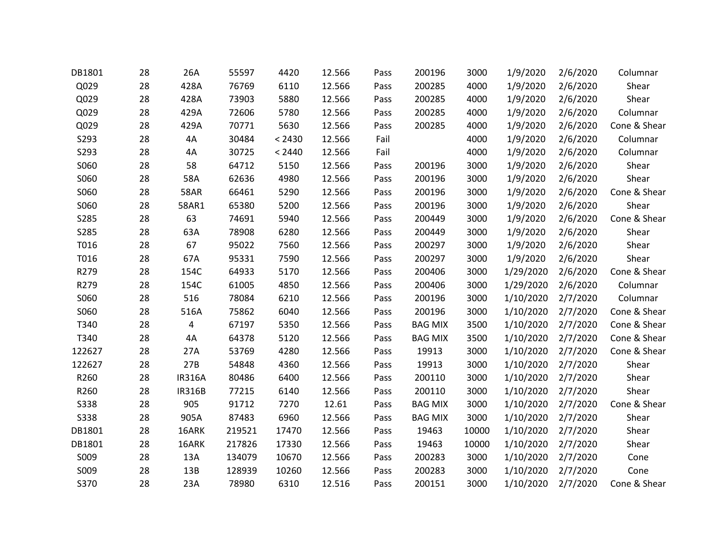| DB1801      | 28 | 26A            | 55597  | 4420   | 12.566 | Pass | 200196         | 3000  | 1/9/2020  | 2/6/2020 | Columnar     |
|-------------|----|----------------|--------|--------|--------|------|----------------|-------|-----------|----------|--------------|
| Q029        | 28 | 428A           | 76769  | 6110   | 12.566 | Pass | 200285         | 4000  | 1/9/2020  | 2/6/2020 | Shear        |
| Q029        | 28 | 428A           | 73903  | 5880   | 12.566 | Pass | 200285         | 4000  | 1/9/2020  | 2/6/2020 | Shear        |
| Q029        | 28 | 429A           | 72606  | 5780   | 12.566 | Pass | 200285         | 4000  | 1/9/2020  | 2/6/2020 | Columnar     |
| Q029        | 28 | 429A           | 70771  | 5630   | 12.566 | Pass | 200285         | 4000  | 1/9/2020  | 2/6/2020 | Cone & Shear |
| S293        | 28 | 4A             | 30484  | < 2430 | 12.566 | Fail |                | 4000  | 1/9/2020  | 2/6/2020 | Columnar     |
| S293        | 28 | 4A             | 30725  | < 2440 | 12.566 | Fail |                | 4000  | 1/9/2020  | 2/6/2020 | Columnar     |
| S060        | 28 | 58             | 64712  | 5150   | 12.566 | Pass | 200196         | 3000  | 1/9/2020  | 2/6/2020 | Shear        |
| S060        | 28 | 58A            | 62636  | 4980   | 12.566 | Pass | 200196         | 3000  | 1/9/2020  | 2/6/2020 | Shear        |
| S060        | 28 | <b>58AR</b>    | 66461  | 5290   | 12.566 | Pass | 200196         | 3000  | 1/9/2020  | 2/6/2020 | Cone & Shear |
| S060        | 28 | 58AR1          | 65380  | 5200   | 12.566 | Pass | 200196         | 3000  | 1/9/2020  | 2/6/2020 | Shear        |
| S285        | 28 | 63             | 74691  | 5940   | 12.566 | Pass | 200449         | 3000  | 1/9/2020  | 2/6/2020 | Cone & Shear |
| S285        | 28 | 63A            | 78908  | 6280   | 12.566 | Pass | 200449         | 3000  | 1/9/2020  | 2/6/2020 | Shear        |
| T016        | 28 | 67             | 95022  | 7560   | 12.566 | Pass | 200297         | 3000  | 1/9/2020  | 2/6/2020 | Shear        |
| T016        | 28 | 67A            | 95331  | 7590   | 12.566 | Pass | 200297         | 3000  | 1/9/2020  | 2/6/2020 | Shear        |
| R279        | 28 | 154C           | 64933  | 5170   | 12.566 | Pass | 200406         | 3000  | 1/29/2020 | 2/6/2020 | Cone & Shear |
| R279        | 28 | 154C           | 61005  | 4850   | 12.566 | Pass | 200406         | 3000  | 1/29/2020 | 2/6/2020 | Columnar     |
| S060        | 28 | 516            | 78084  | 6210   | 12.566 | Pass | 200196         | 3000  | 1/10/2020 | 2/7/2020 | Columnar     |
| S060        | 28 | 516A           | 75862  | 6040   | 12.566 | Pass | 200196         | 3000  | 1/10/2020 | 2/7/2020 | Cone & Shear |
| T340        | 28 | $\overline{4}$ | 67197  | 5350   | 12.566 | Pass | <b>BAG MIX</b> | 3500  | 1/10/2020 | 2/7/2020 | Cone & Shear |
| T340        | 28 | 4A             | 64378  | 5120   | 12.566 | Pass | <b>BAG MIX</b> | 3500  | 1/10/2020 | 2/7/2020 | Cone & Shear |
| 122627      | 28 | 27A            | 53769  | 4280   | 12.566 | Pass | 19913          | 3000  | 1/10/2020 | 2/7/2020 | Cone & Shear |
| 122627      | 28 | 27B            | 54848  | 4360   | 12.566 | Pass | 19913          | 3000  | 1/10/2020 | 2/7/2020 | Shear        |
| R260        | 28 | <b>IR316A</b>  | 80486  | 6400   | 12.566 | Pass | 200110         | 3000  | 1/10/2020 | 2/7/2020 | Shear        |
| R260        | 28 | <b>IR316B</b>  | 77215  | 6140   | 12.566 | Pass | 200110         | 3000  | 1/10/2020 | 2/7/2020 | Shear        |
| <b>S338</b> | 28 | 905            | 91712  | 7270   | 12.61  | Pass | <b>BAG MIX</b> | 3000  | 1/10/2020 | 2/7/2020 | Cone & Shear |
| <b>S338</b> | 28 | 905A           | 87483  | 6960   | 12.566 | Pass | <b>BAG MIX</b> | 3000  | 1/10/2020 | 2/7/2020 | Shear        |
| DB1801      | 28 | 16ARK          | 219521 | 17470  | 12.566 | Pass | 19463          | 10000 | 1/10/2020 | 2/7/2020 | Shear        |
| DB1801      | 28 | 16ARK          | 217826 | 17330  | 12.566 | Pass | 19463          | 10000 | 1/10/2020 | 2/7/2020 | Shear        |
| S009        | 28 | 13A            | 134079 | 10670  | 12.566 | Pass | 200283         | 3000  | 1/10/2020 | 2/7/2020 | Cone         |
| S009        | 28 | 13B            | 128939 | 10260  | 12.566 | Pass | 200283         | 3000  | 1/10/2020 | 2/7/2020 | Cone         |
| S370        | 28 | 23A            | 78980  | 6310   | 12.516 | Pass | 200151         | 3000  | 1/10/2020 | 2/7/2020 | Cone & Shear |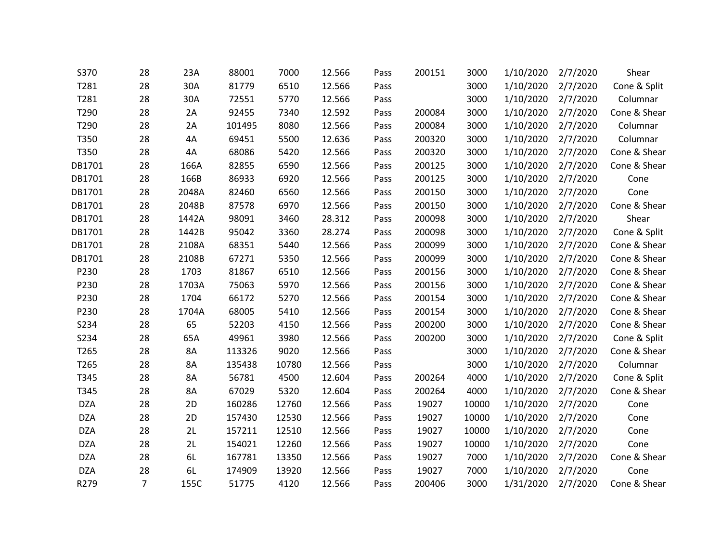| S370       | 28             | 23A       | 88001  | 7000  | 12.566 | Pass | 200151 | 3000  | 1/10/2020 | 2/7/2020 | Shear        |
|------------|----------------|-----------|--------|-------|--------|------|--------|-------|-----------|----------|--------------|
| T281       | 28             | 30A       | 81779  | 6510  | 12.566 | Pass |        | 3000  | 1/10/2020 | 2/7/2020 | Cone & Split |
| T281       | 28             | 30A       | 72551  | 5770  | 12.566 | Pass |        | 3000  | 1/10/2020 | 2/7/2020 | Columnar     |
| T290       | 28             | 2A        | 92455  | 7340  | 12.592 | Pass | 200084 | 3000  | 1/10/2020 | 2/7/2020 | Cone & Shear |
| T290       | 28             | 2A        | 101495 | 8080  | 12.566 | Pass | 200084 | 3000  | 1/10/2020 | 2/7/2020 | Columnar     |
| T350       | 28             | 4A        | 69451  | 5500  | 12.636 | Pass | 200320 | 3000  | 1/10/2020 | 2/7/2020 | Columnar     |
| T350       | 28             | 4A        | 68086  | 5420  | 12.566 | Pass | 200320 | 3000  | 1/10/2020 | 2/7/2020 | Cone & Shear |
| DB1701     | 28             | 166A      | 82855  | 6590  | 12.566 | Pass | 200125 | 3000  | 1/10/2020 | 2/7/2020 | Cone & Shear |
| DB1701     | 28             | 166B      | 86933  | 6920  | 12.566 | Pass | 200125 | 3000  | 1/10/2020 | 2/7/2020 | Cone         |
| DB1701     | 28             | 2048A     | 82460  | 6560  | 12.566 | Pass | 200150 | 3000  | 1/10/2020 | 2/7/2020 | Cone         |
| DB1701     | 28             | 2048B     | 87578  | 6970  | 12.566 | Pass | 200150 | 3000  | 1/10/2020 | 2/7/2020 | Cone & Shear |
| DB1701     | 28             | 1442A     | 98091  | 3460  | 28.312 | Pass | 200098 | 3000  | 1/10/2020 | 2/7/2020 | Shear        |
| DB1701     | 28             | 1442B     | 95042  | 3360  | 28.274 | Pass | 200098 | 3000  | 1/10/2020 | 2/7/2020 | Cone & Split |
| DB1701     | 28             | 2108A     | 68351  | 5440  | 12.566 | Pass | 200099 | 3000  | 1/10/2020 | 2/7/2020 | Cone & Shear |
| DB1701     | 28             | 2108B     | 67271  | 5350  | 12.566 | Pass | 200099 | 3000  | 1/10/2020 | 2/7/2020 | Cone & Shear |
| P230       | 28             | 1703      | 81867  | 6510  | 12.566 | Pass | 200156 | 3000  | 1/10/2020 | 2/7/2020 | Cone & Shear |
| P230       | 28             | 1703A     | 75063  | 5970  | 12.566 | Pass | 200156 | 3000  | 1/10/2020 | 2/7/2020 | Cone & Shear |
| P230       | 28             | 1704      | 66172  | 5270  | 12.566 | Pass | 200154 | 3000  | 1/10/2020 | 2/7/2020 | Cone & Shear |
| P230       | 28             | 1704A     | 68005  | 5410  | 12.566 | Pass | 200154 | 3000  | 1/10/2020 | 2/7/2020 | Cone & Shear |
| S234       | 28             | 65        | 52203  | 4150  | 12.566 | Pass | 200200 | 3000  | 1/10/2020 | 2/7/2020 | Cone & Shear |
| S234       | 28             | 65A       | 49961  | 3980  | 12.566 | Pass | 200200 | 3000  | 1/10/2020 | 2/7/2020 | Cone & Split |
| T265       | 28             | 8A        | 113326 | 9020  | 12.566 | Pass |        | 3000  | 1/10/2020 | 2/7/2020 | Cone & Shear |
| T265       | 28             | <b>8A</b> | 135438 | 10780 | 12.566 | Pass |        | 3000  | 1/10/2020 | 2/7/2020 | Columnar     |
| T345       | 28             | 8A        | 56781  | 4500  | 12.604 | Pass | 200264 | 4000  | 1/10/2020 | 2/7/2020 | Cone & Split |
| T345       | 28             | 8A        | 67029  | 5320  | 12.604 | Pass | 200264 | 4000  | 1/10/2020 | 2/7/2020 | Cone & Shear |
| <b>DZA</b> | 28             | 2D        | 160286 | 12760 | 12.566 | Pass | 19027  | 10000 | 1/10/2020 | 2/7/2020 | Cone         |
| <b>DZA</b> | 28             | 2D        | 157430 | 12530 | 12.566 | Pass | 19027  | 10000 | 1/10/2020 | 2/7/2020 | Cone         |
| <b>DZA</b> | 28             | 2L        | 157211 | 12510 | 12.566 | Pass | 19027  | 10000 | 1/10/2020 | 2/7/2020 | Cone         |
| <b>DZA</b> | 28             | 2L        | 154021 | 12260 | 12.566 | Pass | 19027  | 10000 | 1/10/2020 | 2/7/2020 | Cone         |
| <b>DZA</b> | 28             | 6L        | 167781 | 13350 | 12.566 | Pass | 19027  | 7000  | 1/10/2020 | 2/7/2020 | Cone & Shear |
| <b>DZA</b> | 28             | 6L        | 174909 | 13920 | 12.566 | Pass | 19027  | 7000  | 1/10/2020 | 2/7/2020 | Cone         |
| R279       | $\overline{7}$ | 155C      | 51775  | 4120  | 12.566 | Pass | 200406 | 3000  | 1/31/2020 | 2/7/2020 | Cone & Shear |